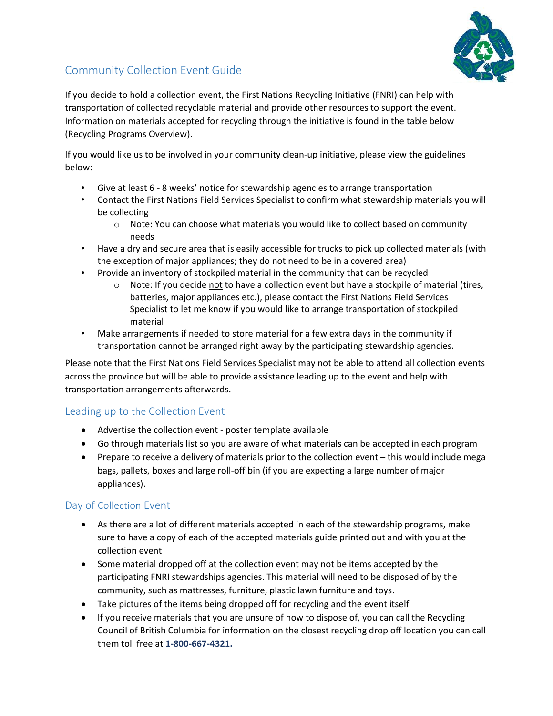

## Community Collection Event Guide

If you decide to hold a collection event, the First Nations Recycling Initiative (FNRI) can help with transportation of collected recyclable material and provide other resources to support the event. Information on materials accepted for recycling through the initiative is found in the table below (Recycling Programs Overview).

If you would like us to be involved in your community clean-up initiative, please view the guidelines below:

- Give at least 6 8 weeks' notice for stewardship agencies to arrange transportation
- Contact the First Nations Field Services Specialist to confirm what stewardship materials you will be collecting
	- $\circ$  Note: You can choose what materials you would like to collect based on community needs
- Have a dry and secure area that is easily accessible for trucks to pick up collected materials (with the exception of major appliances; they do not need to be in a covered area)
- Provide an inventory of stockpiled material in the community that can be recycled
	- $\circ$  Note: If you decide not to have a collection event but have a stockpile of material (tires, batteries, major appliances etc.), please contact the First Nations Field Services Specialist to let me know if you would like to arrange transportation of stockpiled material
- Make arrangements if needed to store material for a few extra days in the community if transportation cannot be arranged right away by the participating stewardship agencies.

Please note that the First Nations Field Services Specialist may not be able to attend all collection events across the province but will be able to provide assistance leading up to the event and help with transportation arrangements afterwards.

## Leading up to the Collection Event

- Advertise the collection event poster template available
- Go through materials list so you are aware of what materials can be accepted in each program
- Prepare to receive a delivery of materials prior to the collection event this would include mega bags, pallets, boxes and large roll-off bin (if you are expecting a large number of major appliances).

## Day of Collection Event

- As there are a lot of different materials accepted in each of the stewardship programs, make sure to have a copy of each of the accepted materials guide printed out and with you at the collection event
- Some material dropped off at the collection event may not be items accepted by the participating FNRI stewardships agencies. This material will need to be disposed of by the community, such as mattresses, furniture, plastic lawn furniture and toys.
- Take pictures of the items being dropped off for recycling and the event itself
- If you receive materials that you are unsure of how to dispose of, you can call the Recycling Council of British Columbia for information on the closest recycling drop off location you can call them toll free at 1-800-667-4321.